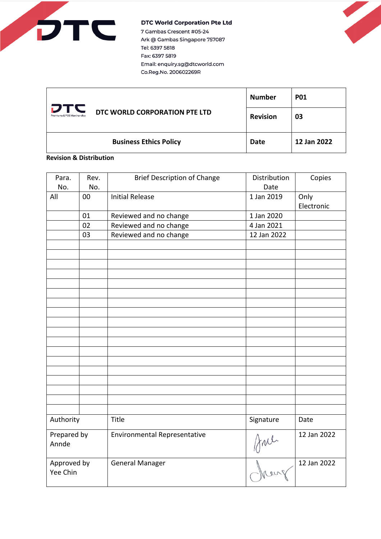

7 Gambas Crescent #05-24 Ark @ Gambas Singapore 757087 Tel: 6397 5818 Fax: 6397 5819 Email: enquiry.sg@dtcworld.com Co.Reg.No. 200602269R

| DT<br>Premiums & POS Merchandise | DTC WORLD CORPORATION PTE LTD | <b>Number</b>   | <b>P01</b>  |
|----------------------------------|-------------------------------|-----------------|-------------|
|                                  |                               | <b>Revision</b> | 03          |
|                                  | <b>Business Ethics Policy</b> | Date            | 12 Jan 2022 |

# **Revision & Distribution**

| Para.<br>No.            | Rev.<br>No. | <b>Brief Description of Change</b>  | Distribution<br>Date | Copies             |
|-------------------------|-------------|-------------------------------------|----------------------|--------------------|
| All                     | 00          | <b>Initial Release</b>              | 1 Jan 2019           | Only<br>Electronic |
|                         | 01          | Reviewed and no change              | 1 Jan 2020           |                    |
|                         | 02          | Reviewed and no change              | 4 Jan 2021           |                    |
|                         | 03          | Reviewed and no change              | 12 Jan 2022          |                    |
|                         |             |                                     |                      |                    |
|                         |             |                                     |                      |                    |
|                         |             |                                     |                      |                    |
|                         |             |                                     |                      |                    |
|                         |             |                                     |                      |                    |
|                         |             |                                     |                      |                    |
|                         |             |                                     |                      |                    |
|                         |             |                                     |                      |                    |
|                         |             |                                     |                      |                    |
|                         |             |                                     |                      |                    |
|                         |             |                                     |                      |                    |
|                         |             |                                     |                      |                    |
|                         |             |                                     |                      |                    |
|                         |             |                                     |                      |                    |
|                         |             |                                     |                      |                    |
|                         |             |                                     |                      |                    |
|                         |             |                                     |                      |                    |
|                         |             |                                     |                      |                    |
| Authority               |             | Title                               | Signature            | Date               |
| Prepared by<br>Annde    |             | <b>Environmental Representative</b> | fral                 | 12 Jan 2022        |
| Approved by<br>Yee Chin |             | <b>General Manager</b>              |                      | 12 Jan 2022        |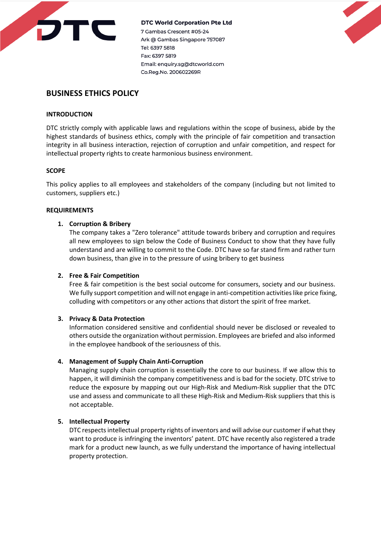

7 Gambas Crescent #05-24 Ark @ Gambas Singapore 757087 Tel: 6397 5818 Fax: 6397 5819 Email: enquiry.sg@dtcworld.com Co.Reg.No. 200602269R



# **BUSINESS ETHICS POLICY**

# **INTRODUCTION**

DTC strictly comply with applicable laws and regulations within the scope of business, abide by the highest standards of business ethics, comply with the principle of fair competition and transaction integrity in all business interaction, rejection of corruption and unfair competition, and respect for intellectual property rights to create harmonious business environment.

# **SCOPE**

This policy applies to all employees and stakeholders of the company (including but not limited to customers, suppliers etc.)

# **REQUIREMENTS**

# **1. Corruption & Bribery**

The company takes a "Zero tolerance" attitude towards bribery and corruption and requires all new employees to sign below the Code of Business Conduct to show that they have fully understand and are willing to commit to the Code. DTC have so far stand firm and rather turn down business, than give in to the pressure of using bribery to get business

### **2. Free & Fair Competition**

Free & fair competition is the best social outcome for consumers, society and our business. We fully support competition and will not engage in anti-competition activities like price fixing, colluding with competitors or any other actions that distort the spirit of free market.

### **3. Privacy & Data Protection**

Information considered sensitive and confidential should never be disclosed or revealed to others outside the organization without permission. Employees are briefed and also informed in the employee handbook of the seriousness of this.

# **4. Management of Supply Chain Anti-Corruption**

Managing supply chain corruption is essentially the core to our business. If we allow this to happen, it will diminish the company competitiveness and is bad for the society. DTC strive to reduce the exposure by mapping out our High-Risk and Medium-Risk supplier that the DTC use and assess and communicate to all these High-Risk and Medium-Risk suppliers that this is not acceptable.

# **5. Intellectual Property**

DTC respects intellectual property rights of inventors and will advise our customer if what they want to produce is infringing the inventors' patent. DTC have recently also registered a trade mark for a product new launch, as we fully understand the importance of having intellectual property protection.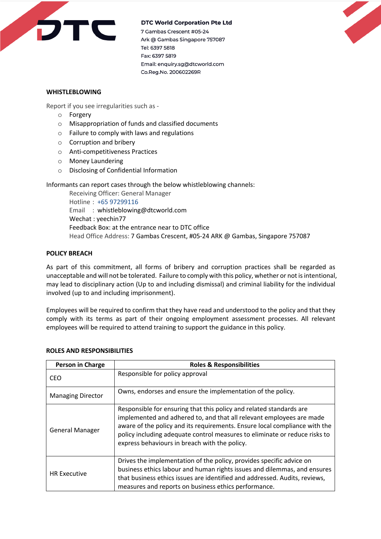

7 Gambas Crescent #05-24 Ark @ Gambas Singapore 757087 Tel: 6397 5818 Fax: 6397 5819 Email: enquiry.sg@dtcworld.com Co.Reg.No. 200602269R



# **WHISTLEBLOWING**

Report if you see irregularities such as -

- o Forgery
- o Misappropriation of funds and classified documents
- o Failure to comply with laws and regulations
- o Corruption and bribery
- o Anti-competitiveness Practices
- o Money Laundering
- o Disclosing of Confidential Information

Informants can report cases through the below whistleblowing channels:

Receiving Officer: General Manager Hotline : +65 97299116 Email : whistleblowing@dtcworld.com Wechat : yeechin77 Feedback Box: at the entrance near to DTC office Head Office Address: 7 Gambas Crescent, #05-24 ARK @ Gambas, Singapore 757087

# **POLICY BREACH**

As part of this commitment, all forms of bribery and corruption practices shall be regarded as unacceptable and will not be tolerated. Failure to comply with this policy, whether or not is intentional, may lead to disciplinary action (Up to and including dismissal) and criminal liability for the individual involved (up to and including imprisonment).

Employees will be required to confirm that they have read and understood to the policy and that they comply with its terms as part of their ongoing employment assessment processes. All relevant employees will be required to attend training to support the guidance in this policy.

| Person in Charge         | <b>Roles &amp; Responsibilities</b>                                                                                                                                                                                                                                                                                                                      |
|--------------------------|----------------------------------------------------------------------------------------------------------------------------------------------------------------------------------------------------------------------------------------------------------------------------------------------------------------------------------------------------------|
| CEO                      | Responsible for policy approval                                                                                                                                                                                                                                                                                                                          |
| <b>Managing Director</b> | Owns, endorses and ensure the implementation of the policy.                                                                                                                                                                                                                                                                                              |
| <b>General Manager</b>   | Responsible for ensuring that this policy and related standards are<br>implemented and adhered to, and that all relevant employees are made<br>aware of the policy and its requirements. Ensure local compliance with the<br>policy including adequate control measures to eliminate or reduce risks to<br>express behaviours in breach with the policy. |
| <b>HR Executive</b>      | Drives the implementation of the policy, provides specific advice on<br>business ethics labour and human rights issues and dilemmas, and ensures<br>that business ethics issues are identified and addressed. Audits, reviews,<br>measures and reports on business ethics performance.                                                                   |

### **ROLES AND RESPONSIBILITIES**